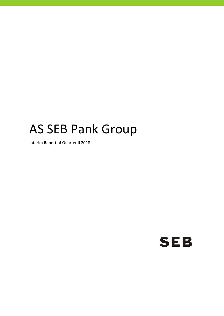# AS SEB Pank Group

Interim Report of Quarter II 2018

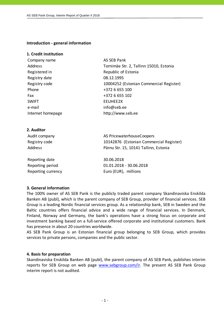**Introduction ‐ general information**

## **1. Credit institution**

| Company name      | AS SEB Pank                             |
|-------------------|-----------------------------------------|
| Address           | Tornimäe Str. 2, Tallinn 15010, Estonia |
| Registered in     | Republic of Estonia                     |
| Registry date     | 08.12.1995                              |
| Registry code     | 10004252 (Estonian Commercial Register) |
| Phone             | +372 6 655 100                          |
| Fax               | +372 6 655 102                          |
| <b>SWIFT</b>      | EEUHEE2X                                |
| e-mail            | info@seb.ee                             |
| Internet homepage | http://www.seb.ee                       |
|                   |                                         |

## **2. Auditor**

| Audit company | AS Pricewaterhouse Coopers              |
|---------------|-----------------------------------------|
| Registry code | 10142876 (Estonian Commercial Register) |
| Address       | Pärnu Str. 15, 10141 Tallinn, Estonia   |
|               |                                         |

Reporting date 30.06.2018 Reporting period 01.01.2018 ‐ 30.06.2018 Reporting currency **EUR** Euro (EUR), millions

## **3. General information**

The 100% owner of AS SEB Pank is the publicly traded parent company Skandinaviska Enskilda Banken AB (publ), which is the parent company of SEB Group, provider of financial services. SEB Group is a leading Nordic financial services group. As a relationship bank, SEB in Sweden and the Baltic countries offers financial advice and a wide range of financial services. In Denmark, Finland, Norway and Germany, the bank's operations have a strong focus on corporate and investment banking based on a full-service offered corporate and institutional customers. Bank has presence in about 20 countries worldwide.

AS SEB Pank Group is an Estonian financial group belonging to SEB Group, which provides services to private persons, companies and the public sector.

#### **4. Basis for preparation**

Skandinaviska Enskilda Banken AB (publ), the parent company of AS SEB Pank, publishes interim reports for SEB Group on web page www.sebgroup.com/ir. The present AS SEB Pank Group interim report is not audited.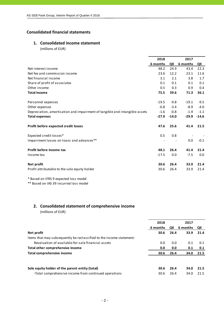## **Consolidated financial statements**

## **1. Consolidated income statement**

(millions of EUR)

|                                                                             | 2018     |         | 2017     |         |
|-----------------------------------------------------------------------------|----------|---------|----------|---------|
|                                                                             | 6 months | QII     | 6 months | QII     |
| Net interest income                                                         | 48.2     | 24.9    | 43.4     | 22.3    |
| Net fee and commission income                                               | 23.6     | 12.2    | 23.1     | 11.6    |
| Net financial income                                                        | 3.1      | 2.1     | 3.8      | 1.7     |
| Share of profit of associates                                               | 0.1      | 0.1     | 0.1      | 0.1     |
| Other income                                                                | 0.5      | 0.3     | 0.9      | 0.4     |
| <b>Total income</b>                                                         | 75.5     | 39.6    | 71.3     | 36.1    |
| Personnel expenses                                                          | $-19.5$  | $-9.8$  | $-19.1$  | $-9.5$  |
| Other expenses                                                              | $-6.8$   | $-3.4$  | $-8.9$   | $-4.0$  |
| Depreciation, amortisation and impairment of tangible and intangible assets | $-1.6$   | $-0.8$  | $-1.9$   | $-1.1$  |
| <b>Total expenses</b>                                                       | $-27.9$  | $-14.0$ | $-29.9$  | $-14.6$ |
| Profit before expected credit losses                                        | 47.6     | 25.6    | 41.4     | 21.5    |
| Expected credit losses*                                                     | 0.5      | 0.8     |          |         |
| Impairment losses on loans and advances**                                   |          |         | 0.0      | $-0.1$  |
| Profit before income tax                                                    | 48.1     | 26.4    | 41.4     | 21.4    |
| Income tax                                                                  | $-17.5$  | 0.0     | $-7.5$   | 0.0     |
| Net profit                                                                  | 30.6     | 26.4    | 33.9     | 21.4    |
| Profit attributable to the sole equity holder                               | 30.6     | 26.4    | 33.9     | 21.4    |

\* Based on IFRS 9 expected loss model

\*\* Based on IAS 39 incurred loss model

## **2. Consolidated statement of comprehensive income**

(millions of EUR)

|                                                                      | 2018     |      | 2017     |      |
|----------------------------------------------------------------------|----------|------|----------|------|
|                                                                      | 6 months | QII  | 6 months | QII  |
| Net profit                                                           | 30.6     | 26.4 | 33.9     | 21.4 |
| Items that may subsequently be reclassified to the income statement: |          |      |          |      |
| Revaluation of available-for-sale financial assets                   | 0.0      | 0.0  | 0.1      | 0.1  |
| Total other comprehensive income                                     | 0.0      | 0.0  | 0.1      | 0.1  |
| <b>Total comprehensive income</b>                                    | 30.6     | 26.4 | 34.0     | 21.5 |
| Sole equity holder of the parent entity (total)                      | 30.6     | 26.4 | 34.0     | 21.5 |
| -Total comprehensive income from continued operations                | 30.6     | 26.4 | 34.0     | 21.5 |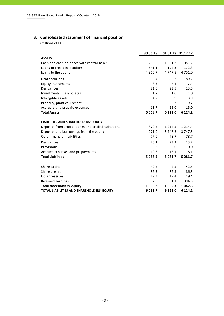## **3. Consolidated statement of financial position**

(millions of EUR)

|                                                     | 30.06.18   |            | 01.01.18 31.12.17 |
|-----------------------------------------------------|------------|------------|-------------------|
| <b>ASSETS</b>                                       |            |            |                   |
| Cash and cash balances with central bank            | 289.9      | 1051.2     | 1051.2            |
| Loans to credit institutions                        | 641.1      | 172.3      | 172.3             |
| Loans to the public                                 | 4 9 6 6.7  | 4 7 4 7.8  | 4 7 5 1 .0        |
| Debt securities                                     | 98.4       | 89.2       | 89.2              |
| Equity instruments                                  | 8.3        | 7.4        | 7.4               |
| Derivatives                                         | 21.0       | 23.5       | 23.5              |
| Investments in associates                           | 1.2        | 1.0        | 1.0               |
| Intangible assets                                   | 4.2        | 3.9        | 3.9               |
| Property, plant equipment                           | 9.2        | 9.7        | 9.7               |
| Accruals and prepaid expenses                       | 18.7       | 15.0       | 15.0              |
| <b>Total Assets</b>                                 | 6058.7     | 6 1 2 1 .0 | 6 1 2 4 .2        |
| <b>LIABILITIES AND SHAREHOLDERS' EQUITY</b>         |            |            |                   |
| Deposits from central banks and credit institutions | 870.5      | 1 2 1 4 .5 | 1 2 1 4 .4        |
| Deposits and borrowings from the public             | 4 0 7 1 .0 | 3 747.2    | 3 747.3           |
| Other financial liabilities                         | 77.0       | 78.7       | 78.7              |
| Derivatives                                         | 20.1       | 23.2       | 23.2              |
| Provisions                                          | 0.3        | 0.0        | 0.0               |
| Accrued expenses and prepayments                    | 19.6       | 18.1       | 18.1              |
| <b>Total Liabilities</b>                            | 5 0 5 8.5  | 5 0 8 1 .7 | 5 0 8 1 .7        |
| Share capital                                       | 42.5       | 42.5       | 42.5              |
| Share premium                                       | 86.3       | 86.3       | 86.3              |
| Other reserves                                      | 19.4       | 19.4       | 19.4              |
| Retained earnings                                   | 852.0      | 891.1      | 894.3             |
| <b>Total shareholders' equity</b>                   | 1 000.2    | 1039.3     | 1 0 4 2 .5        |
| <b>TOTAL LIABILITIES AND SHAREHOLDERS' EQUITY</b>   | 6058.7     | 6 1 2 1 .0 | 6 1 2 4 .2        |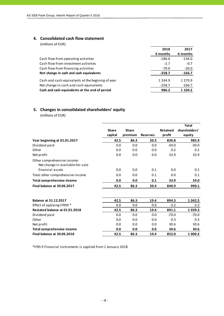#### **4. Consolidated cash flow statement**

(millions of EUR)

|                                                   | 2018       | 2017        |
|---------------------------------------------------|------------|-------------|
|                                                   | 6 months   | 6 months    |
| Cash flow from operating activities               | $-186.0$   | $-136.0$    |
| Cash flow from investment activities              | $-2.7$     | $-0.7$      |
| Cash flow from financing activities               | -70.0      | $-30.0$     |
| Net change in cash and cash equivalents           | $-258.7$   | $-166.7$    |
| Cash and cash equivalents at the beginnig of year | 1 2 4 4 .9 | 1 2 7 0 .9  |
| Net change in cash and cash equivalents           | $-258.7$   | $-166.7$    |
| Cash and cash equivalents at the end of period    | 986.2      | 1 1 0 4 . 2 |

## **5. Changes in consolidated shareholders' equity**

(millions of EUR)

|                                                                 |              |              |                 |                 | <b>Total</b>  |
|-----------------------------------------------------------------|--------------|--------------|-----------------|-----------------|---------------|
|                                                                 | <b>Share</b> | <b>Share</b> |                 | <b>Retained</b> | shareholders' |
|                                                                 | capital      | premium      | <b>Reserves</b> | profit          | equity        |
| Year beginning at 01.01.2017                                    | 42.5         | 86.3         | 20.3            | 836.8           | 985.9         |
| Dividend paid                                                   | 0.0          | 0.0          | 0.0             | $-30.0$         | $-30.0$       |
| Other                                                           | 0.0          | 0.0          | 0.0             | 0.2             | 0.2           |
| Net profit                                                      | 0.0          | 0.0          | 0.0             | 33.9            | 33.9          |
| Other comprehensive income:<br>Net change in available-for-sale |              |              |                 |                 |               |
| financial assets                                                | 0.0          | 0.0          | 0.1             | 0.0             | 0.1           |
| Total other comprehensive income                                | 0.0          | 0.0          | 0.1             | 0.0             | 0.1           |
| Total comprehensive income                                      | 0.0          | 0.0          | 0.1             | 33.9            | 34.0          |
| Final balance at 30.06.2017                                     | 42.5         | 86.3         | 20.4            | 840.9           | 990.1         |
| <b>Balance at 31.12.2017</b>                                    | 42.5         | 86.3         | 19.4            | 894.3           | 1 042.5       |
| Effect of applying IFRS9 *                                      | 0.0          | 0.0          | 0.0             | $-3.2$          | $-3.2$        |
| Restated balance at 01.01.2018                                  | 42.5         | 86.3         | 19.4            | 891.1           | 1039.3        |
| Dividend paid                                                   | 0.0          | 0.0          | 0.0             | $-70.0$         | $-70.0$       |
| Other                                                           | 0.0          | 0.0          | 0.0             | 0.3             | 0.3           |
| Net profit                                                      | 0.0          | 0.0          | 0.0             | 30.6            | 30.6          |
| <b>Total comprehensive income</b>                               | 0.0          | 0.0          | 0.0             | 30.6            | 30.6          |
| Final balance at 30.06.2018                                     | 42.5         | 86.3         | 19.4            | 852.0           | 1 000.2       |

\*IFRS 9 Financial instruments is applied from 1 January 2018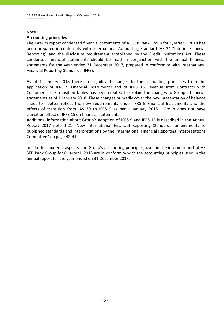#### **Note 1**

#### **Accounting principles**

The interim report condensed financial statements of AS SEB Pank Group for Quarter II 2018 has been prepared in conformity with International Accounting Standard IAS 34 "Interim Financial Reporting" and the disclosure requirement established by the Credit Institutions Act. These condensed financial statements should be read in conjunction with the annual financial statements for the year ended 31 December 2017, prepared in conformity with International Financial Reporting Standards (IFRS).

As of 1 January 2018 there are significant changes to the accounting principles from the application of IFRS 9 Financial Instruments and of IFRS 15 Revenue from Contracts with Customers. The transition tables has been created to explain the changes to Group`s financial statements as of 1 January 2018. These changes primarily cover the new presentation of balance sheet to better reflect the new requirements under IFRS 9 Financial Instruments and the effects of transition from IAS 39 to IFRS 9 as per 1 January 2018. Group does not have transition effect of IFRS 15 on financial statements.

Additional information about Group's adoption of IFRS 9 and IFRS 15 is described in the Annual Report 2017 note 1.21 "New International Financial Reporting Standards, amendments to published standards and interpretations by the International Financial Reporting Interpretations Committee" on page 42‐44.

In all other material aspects, the Group's accounting principles, used in the interim report of AS SEB Pank Group for Quarter II 2018 are in conformity with the accounting principles used in the annual report for the year ended on 31 December 2017.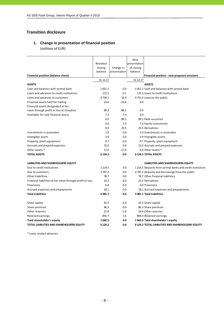## **Transition disclosure**

## **1. Change in presentation of financial position**

(millions of EUR)

|                                                            |            |              | New          |                                                           |
|------------------------------------------------------------|------------|--------------|--------------|-----------------------------------------------------------|
|                                                            | Restated   |              | presentation |                                                           |
|                                                            | closing    | Change in    | of closing   |                                                           |
|                                                            | balance    | presentation | balance      |                                                           |
| Financial position (balance sheet)                         |            |              |              | Financial position - new proposed structure               |
|                                                            | 31.12.17   |              | 31.12.17     |                                                           |
| <b>ASSETS</b>                                              |            |              |              | <b>ASSETS</b>                                             |
| Cash and balances with central bank                        | 1051.2     | 0.0          |              | 1051.2 Cash and balances with central bank                |
| Loans and advances to credit institutions                  | 172.2      | 0.1          |              | 172.3 Loans to credit institutions                        |
| Loans and advances to customers                            | 4734.1     | 16.9         |              | 4751.0 Loans to the public                                |
| Financial assets held for trading                          | 23.6       | $-23.6$      | 0.0          |                                                           |
| Financial assets designated at fair                        |            |              |              |                                                           |
| value through profit or loss at inception                  | 89.2       | $-89.2$      | 0.0          |                                                           |
| Available-for-sale financial assets                        | 7.3        | $-7.3$       | 0.0          |                                                           |
|                                                            | 0.0        | 89.2         |              | 89.2 Debt securities                                      |
|                                                            | 0.0        | 7.4          |              | 7.4 Equity instruments                                    |
|                                                            | 0.0        | 23.5         |              | 23.5 Derivatives                                          |
| Investments in associates                                  | 1.0        | 0.0          |              | 1.0 Investments in associates                             |
| Intangible assets                                          | 3.9        | 0.0          |              | 3.9 Intangible assets                                     |
| Property, plant equipment                                  | 9.7        | 0.0          |              | 9.7 Property, plant equipment                             |
| Accruals and prepaid expenses                              | 15.0       | 0.0          |              | 15.0 Accruals and prepaid expenses                        |
| Other assets *                                             | 17.0       | $-17.0$      |              | 0.0 Other assets *                                        |
| <b>TOTAL ASSETS</b>                                        | 6 124.2    | 0.0          |              | <b>6124.2 TOTAL ASSETS</b>                                |
| LIABILITIES AND SHAREHOLDERS EQUITY                        |            |              |              | LIABILITIES AND SHAREHOLDERS EQUITY                       |
| Due to credit institutions                                 | 1 2 1 4 .5 | 0.0          |              | 1214.5 Deposits from central banks and credit institution |
| Due to customers                                           | 3747.2     | 0.0          |              | 3747.2 Deposits and borrowings from the public            |
| <b>Other Liabilities</b>                                   | 78.7       | 0.0          |              | 78.7 Other financial liabilities                          |
| Financial liabilities at fair value through profit or loss | 23.2       | 0.0          |              | 23.2 Derivatives                                          |
| Provisions                                                 | 0.0        | 0.0          |              | 0.0 Provisions                                            |
| Accrued expenses and prepayments                           | 18.1       | 0.0          |              | 18.1 Accrued expenses and prepayments                     |
| <b>Total Liabilities</b>                                   | 5081.7     | 0.0          |              | 5081.7 Total Liabilities                                  |
|                                                            |            |              |              |                                                           |
| Share capital                                              | 42.5       | 0.0          |              | 42.5 Share capital                                        |
| Share premium                                              | 86.3       | 0.0          |              | 86.3 Share premium                                        |
| Other reserves                                             | 21.0       | $-1.6$       |              | 19.4 Other reserves                                       |
| Retained earnings                                          | 892.7      | 1.6          |              | 894.3 Retained earnings                                   |
| Total shareholder's equity                                 | 1042.5     | 0.0          |              | 1042.5 Total shareholder's equity                         |
| <b>TOTAL LIABILITIES AND SHAREHOLDERS EQUITY</b>           | 6 124.2    | 0.0          |              | <b>6 124.2 TOTAL LIABILITIES AND SHAREHOLDERS EQUITY</b>  |

\* Loans related advances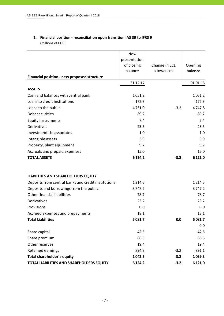## **2. Financial position ‐ reconciliation upon transition IAS 39 to IFRS 9** (millions of EUR)

|                                                     | <b>New</b><br>presentation<br>of closing<br>balance | Change in ECL<br>allowances | Opening<br>balance |
|-----------------------------------------------------|-----------------------------------------------------|-----------------------------|--------------------|
| Financial position - new proposed structure         |                                                     |                             |                    |
| <b>ASSETS</b>                                       | 31.12.17                                            |                             | 01.01.18           |
| Cash and balances with central bank                 | 1051.2                                              |                             | 1051.2             |
| Loans to credit institutions                        | 172.3                                               |                             | 172.3              |
| Loans to the public                                 | 4751.0                                              | $-3.2$                      | 4747.8             |
| Debt securities                                     | 89.2                                                |                             | 89.2               |
| <b>Equity instruments</b>                           | 7.4                                                 |                             | 7.4                |
| Derivatives                                         | 23.5                                                |                             | 23.5               |
| Investments in associates                           | 1.0                                                 |                             | 1.0                |
| Intangible assets                                   | 3.9                                                 |                             | 3.9                |
| Property, plant equipment                           | 9.7                                                 |                             | 9.7                |
| Accruals and prepaid expenses                       | 15.0                                                |                             | 15.0               |
| <b>TOTAL ASSETS</b>                                 | 6 1 24.2                                            | $-3.2$                      | 6 121.0            |
| LIABILITIES AND SHAREHOLDERS EQUITY                 |                                                     |                             |                    |
| Deposits from central banks and credit institutions | 1 2 1 4 .5                                          |                             | 1 2 1 4 .5         |
| Deposits and borrowings from the public             | 3 747.2                                             |                             | 3747.2             |
| Other financial liabilities                         | 78.7                                                |                             | 78.7               |
| Derivatives                                         | 23.2                                                |                             | 23.2               |
| Provisions                                          | 0.0                                                 |                             | 0.0                |
| Accrued expenses and prepayments                    | 18.1                                                |                             | 18.1               |
| Total Liabilities                                   | 5 0 8 1.7                                           | 0.0                         | 5 081.7            |
|                                                     |                                                     |                             | 0.0                |
| Share capital                                       | 42.5                                                |                             | 42.5               |
| Share premium                                       | 86.3                                                |                             | 86.3               |
| Other reserves                                      | 19.4                                                |                             | 19.4               |
| Retained earnings                                   | 894.3                                               | $-3.2$                      | 891.1              |
| Total shareholder's equity                          | 1042.5                                              | $-3.2$                      | 1039.3             |
| TOTAL LIABILITIES AND SHAREHOLDERS EQUITY           | 6 1 24.2                                            | $-3.2$                      | 6 121.0            |